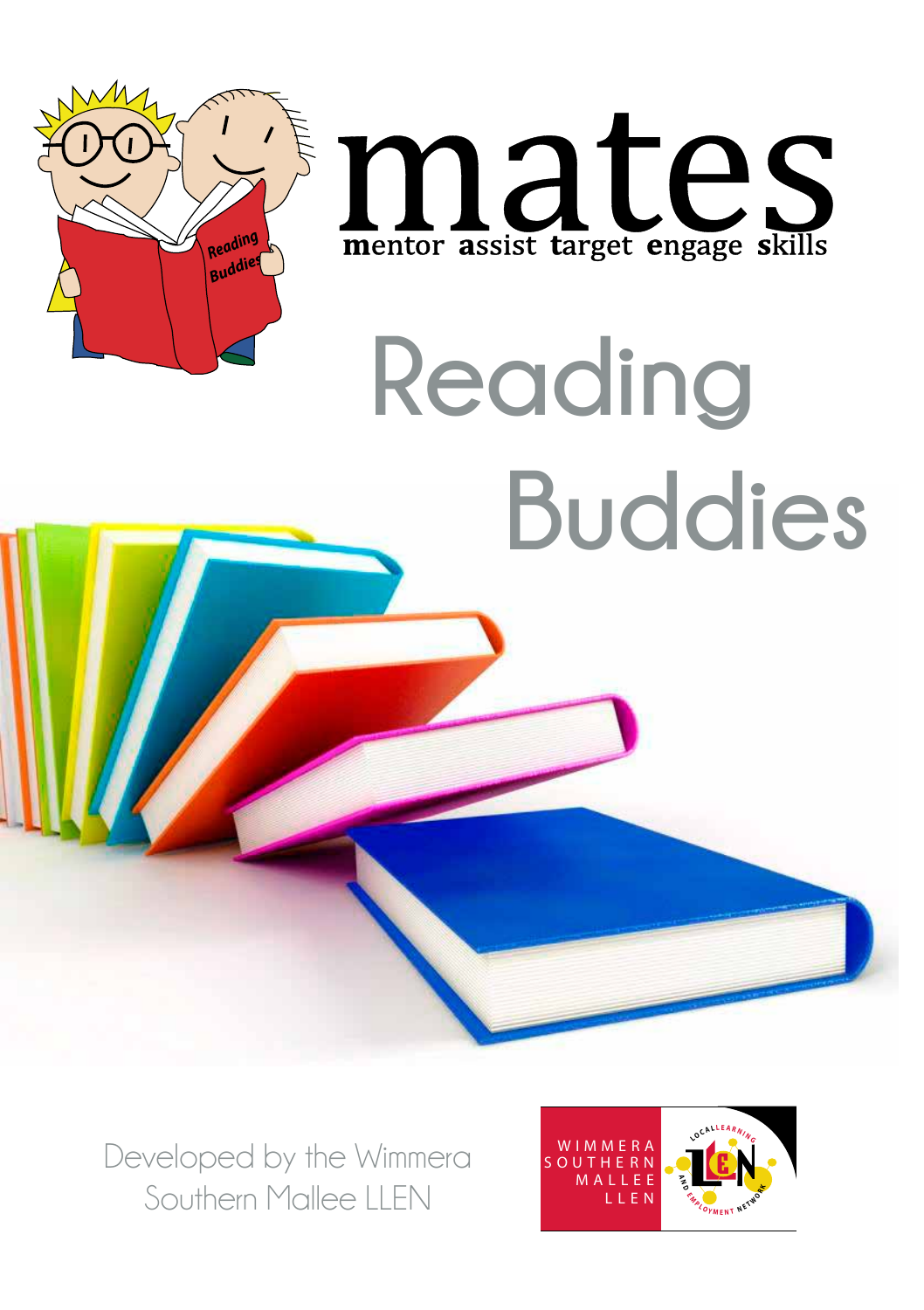



# **Reading Buddies**

Developed by the Wimmera Southern Mallee LLEN

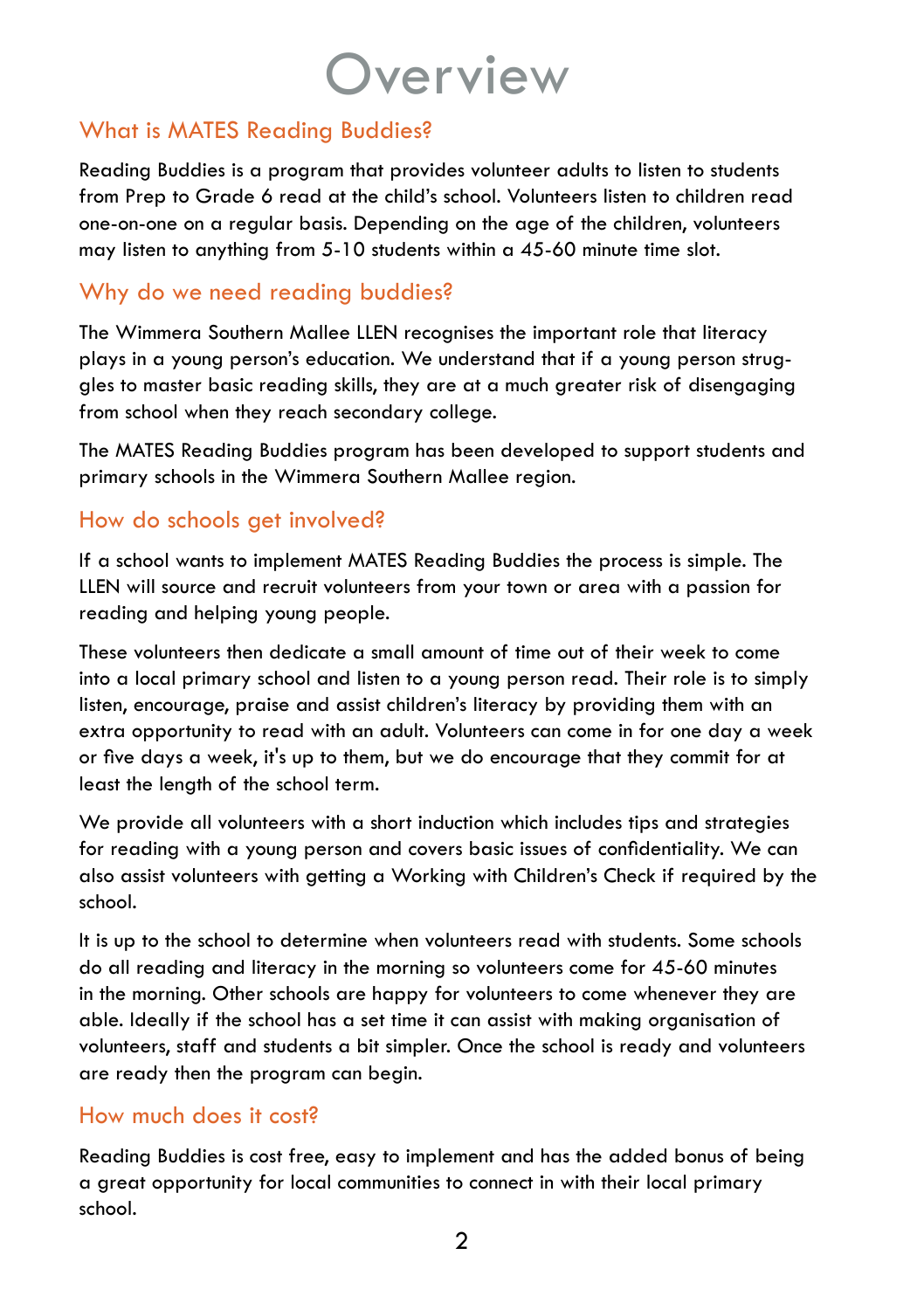## **Overview**

## What is MATES Reading Buddies?

Reading Buddies is a program that provides volunteer adults to listen to students from Prep to Grade 6 read at the child's school. Volunteers listen to children read one-on-one on a regular basis. Depending on the age of the children, volunteers may listen to anything from 5-10 students within a 45-60 minute time slot.

## Why do we need reading buddies?

The Wimmera Southern Mallee LLEN recognises the important role that literacy plays in a young person's education. We understand that if a young person struggles to master basic reading skills, they are at a much greater risk of disengaging from school when they reach secondary college.

The MATES Reading Buddies program has been developed to support students and primary schools in the Wimmera Southern Mallee region.

### How do schools get involved?

If a school wants to implement MATES Reading Buddies the process is simple. The LLEN will source and recruit volunteers from your town or area with a passion for reading and helping young people.

These volunteers then dedicate a small amount of time out of their week to come into a local primary school and listen to a young person read. Their role is to simply listen, encourage, praise and assist children's literacy by providing them with an extra opportunity to read with an adult. Volunteers can come in for one day a week or five days a week, it's up to them, but we do encourage that they commit for at least the length of the school term.

We provide all volunteers with a short induction which includes tips and strategies for reading with a young person and covers basic issues of confidentiality. We can also assist volunteers with getting a Working with Children's Check if required by the school.

It is up to the school to determine when volunteers read with students. Some schools do all reading and literacy in the morning so volunteers come for 45-60 minutes in the morning. Other schools are happy for volunteers to come whenever they are able. Ideally if the school has a set time it can assist with making organisation of volunteers, staff and students a bit simpler. Once the school is ready and volunteers are ready then the program can begin.

### How much does it cost?

Reading Buddies is cost free, easy to implement and has the added bonus of being a great opportunity for local communities to connect in with their local primary school.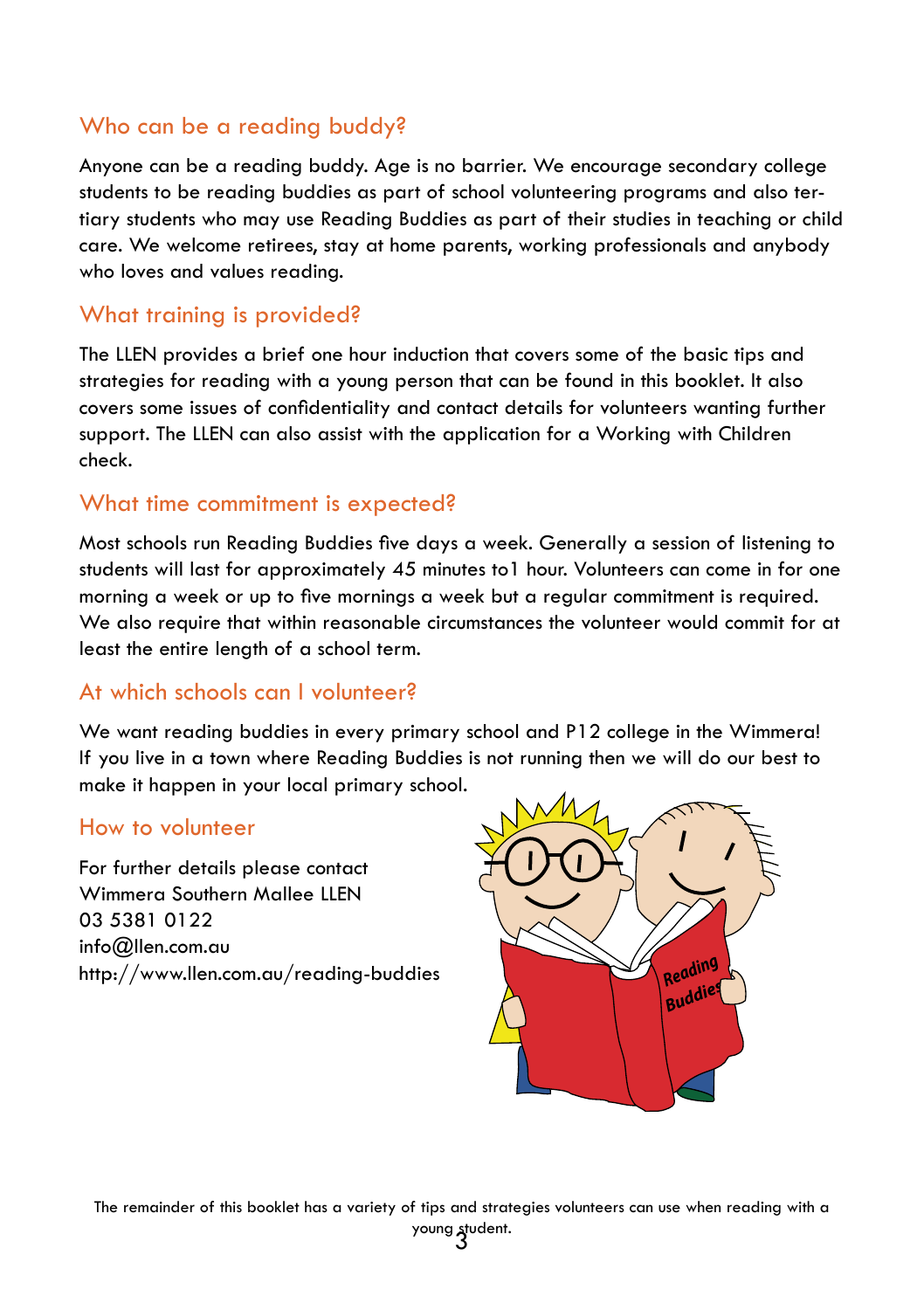## Who can be a reading buddy?

Anyone can be a reading buddy. Age is no barrier. We encourage secondary college students to be reading buddies as part of school volunteering programs and also tertiary students who may use Reading Buddies as part of their studies in teaching or child care. We welcome retirees, stay at home parents, working professionals and anybody who loves and values reading.

### What training is provided?

The LLEN provides a brief one hour induction that covers some of the basic tips and strategies for reading with a young person that can be found in this booklet. It also covers some issues of confidentiality and contact details for volunteers wanting further support. The LLEN can also assist with the application for a Working with Children check.

#### What time commitment is expected?

Most schools run Reading Buddies five days a week. Generally a session of listening to students will last for approximately 45 minutes to1 hour. Volunteers can come in for one morning a week or up to five mornings a week but a regular commitment is required. We also require that within reasonable circumstances the volunteer would commit for at least the entire length of a school term.

#### At which schools can I volunteer?

We want reading buddies in every primary school and P12 college in the Wimmera! If you live in a town where Reading Buddies is not running then we will do our best to make it happen in your local primary school.

#### How to volunteer

For further details please contact Wimmera Southern Mallee LLEN 03 5381 0122 info@llen.com.au http://www.llen.com.au/reading-buddies

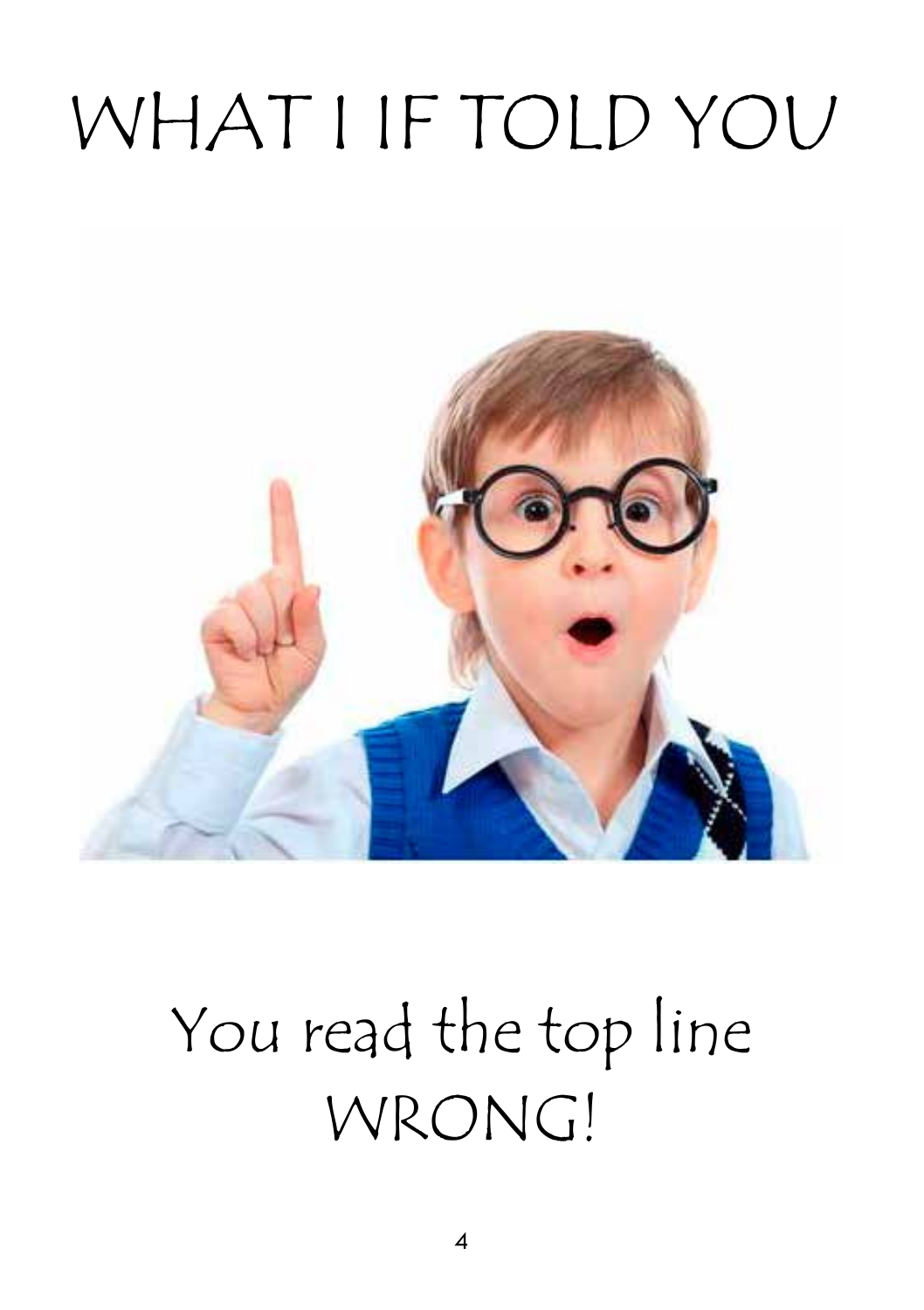## WHAT I IF TOLD YOU



## You read the top line WRONG!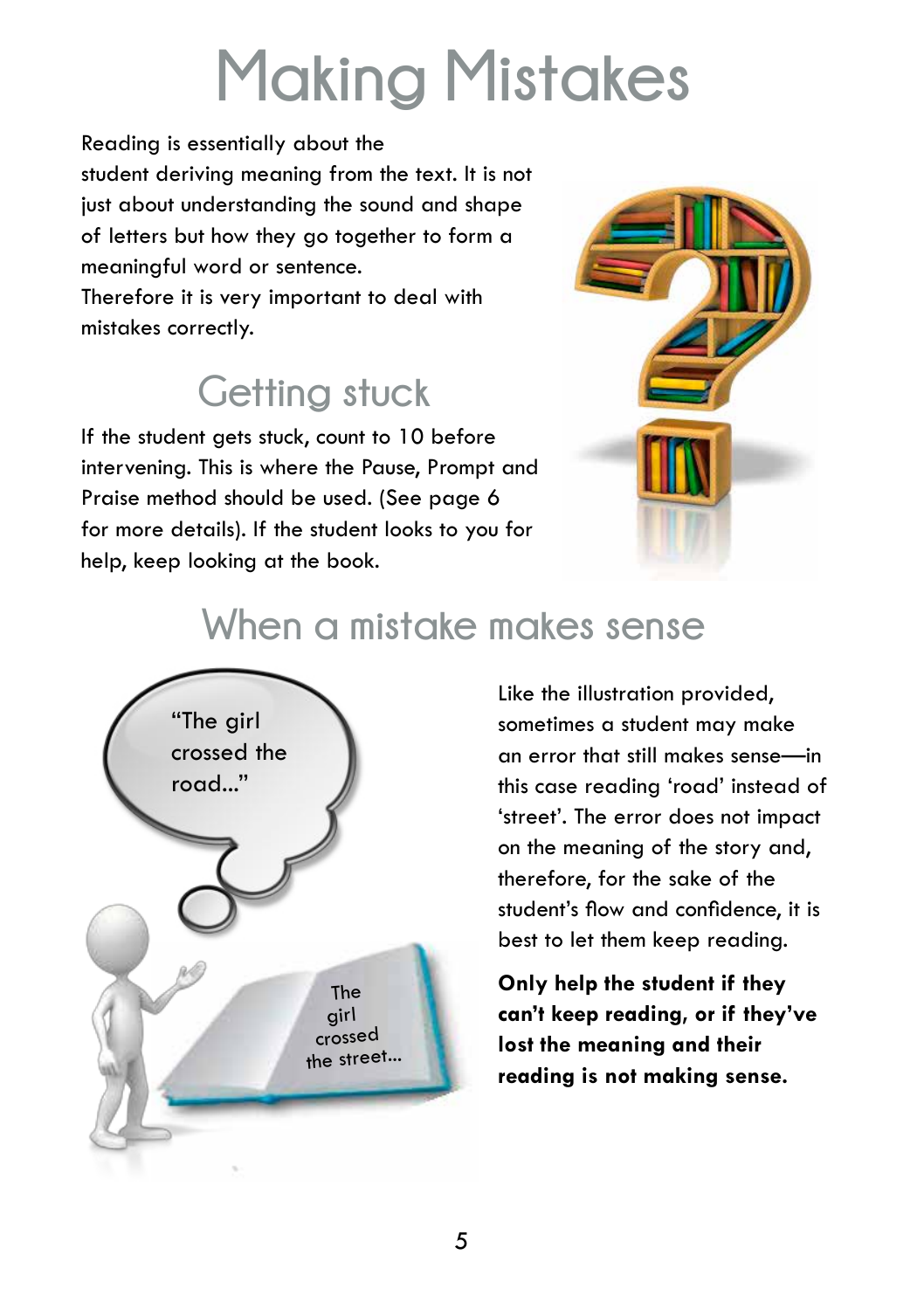## **Making Mistakes**

Reading is essentially about the student deriving meaning from the text. It is not just about understanding the sound and shape of letters but how they go together to form a meaningful word or sentence.

Therefore it is very important to deal with mistakes correctly.

## **Getting stuck**

If the student gets stuck, count to 10 before intervening. This is where the Pause, Prompt and Praise method should be used. (See page 6 for more details). If the student looks to you for help, keep looking at the book.



## **When a mistake makes sense**



Like the illustration provided, sometimes a student may make an error that still makes sense—in this case reading 'road' instead of 'street'. The error does not impact on the meaning of the story and, therefore, for the sake of the student's flow and confidence, it is best to let them keep reading.

**Only help the student if they can't keep reading, or if they've lost the meaning and their reading is not making sense.**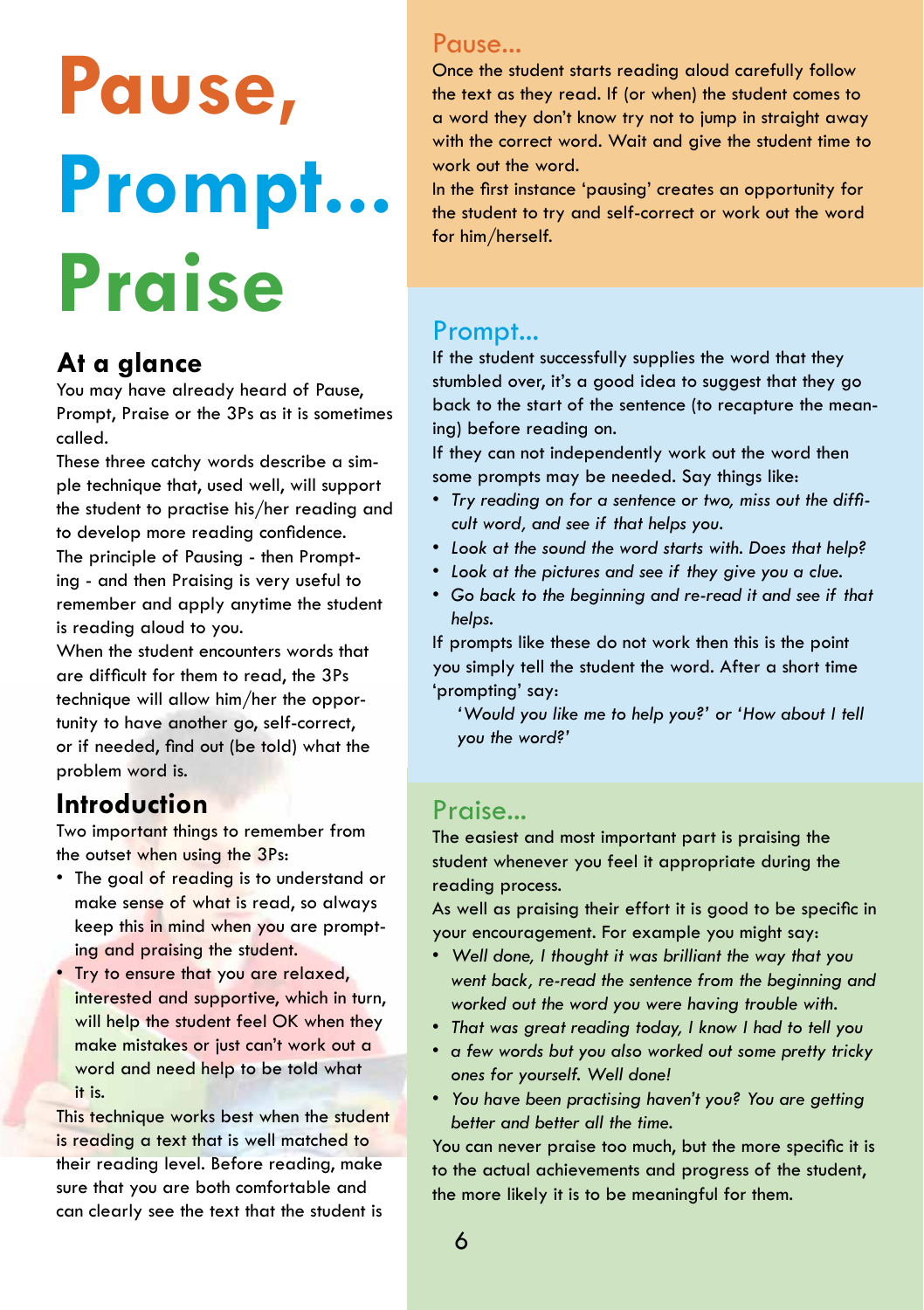## **Pause, Prompt... Praise**

## **At a glance**

You may have already heard of Pause, Prompt, Praise or the 3Ps as it is sometimes called.

These three catchy words describe a simple technique that, used well, will support the student to practise his/her reading and to develop more reading confidence. The principle of Pausing - then Prompting - and then Praising is very useful to remember and apply anytime the student is reading aloud to you.

When the student encounters words that are difficult for them to read, the 3Ps technique will allow him/her the opportunity to have another go, self-correct, or if needed, find out (be told) what the problem word is.

## **Introduction**

Two important things to remember from the outset when using the 3Ps:

- The goal of reading is to understand or make sense of what is read, so always keep this in mind when you are prompting and praising the student.
- Try to ensure that you are relaxed, interested and supportive, which in turn, will help the student feel OK when they make mistakes or just can't work out a word and need help to be told what it is.

This technique works best when the student is reading a text that is well matched to their reading level. Before reading, make sure that you are both comfortable and can clearly see the text that the student is

## Pause...

Once the student starts reading aloud carefully follow the text as they read. If (or when) the student comes to a word they don't know try not to jump in straight away with the correct word. Wait and give the student time to work out the word.

In the first instance 'pausing' creates an opportunity for the student to try and self-correct or work out the word for him/herself.

## Prompt...

If the student successfully supplies the word that they stumbled over, it's a good idea to suggest that they go back to the start of the sentence (to recapture the meaning) before reading on.

If they can not independently work out the word then some prompts may be needed. Say things like:

- *• Try reading on for a sentence or two, miss out the difficult word, and see if that helps you.*
- *• Look at the sound the word starts with. Does that help?*
- *• Look at the pictures and see if they give you a clue.*
- *• Go back to the beginning and re-read it and see if that helps.*

If prompts like these do not work then this is the point you simply tell the student the word. After a short time 'prompting' say:

*'Would you like me to help you?' or 'How about I tell you the word?'*

## Praise...

The easiest and most important part is praising the student whenever you feel it appropriate during the reading process.

As well as praising their effort it is good to be specific in your encouragement. For example you might say:

- *• Well done, I thought it was brilliant the way that you went back, re-read the sentence from the beginning and worked out the word you were having trouble with.*
- *• That was great reading today, I know I had to tell you*
- *• a few words but you also worked out some pretty tricky ones for yourself. Well done!*
- *• You have been practising haven't you? You are getting better and better all the time.*

You can never praise too much, but the more specific it is to the actual achievements and progress of the student, the more likely it is to be meaningful for them.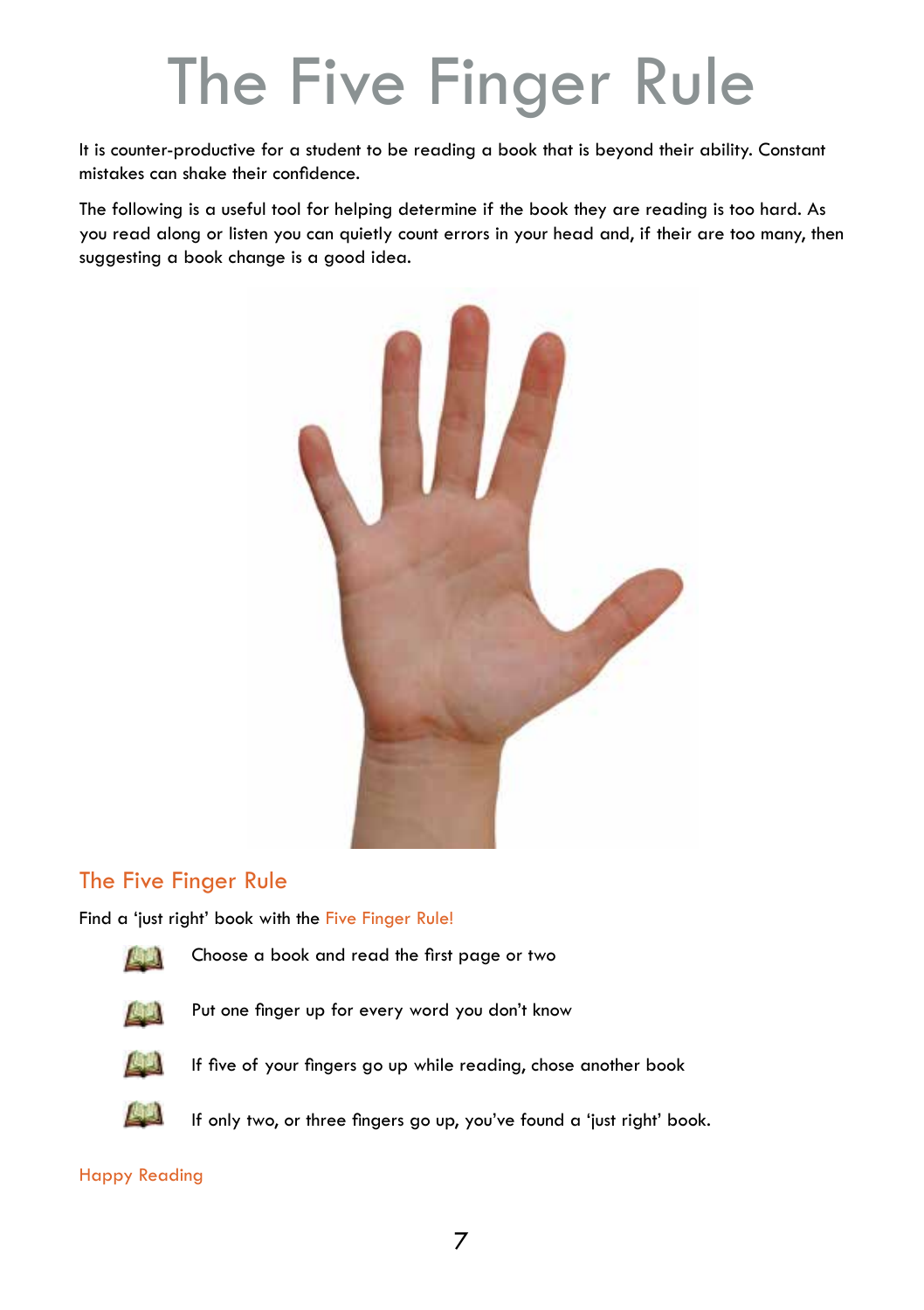## The Five Finger Rule

It is counter-productive for a student to be reading a book that is beyond their ability. Constant mistakes can shake their confidence.

The following is a useful tool for helping determine if the book they are reading is too hard. As you read along or listen you can quietly count errors in your head and, if their are too many, then suggesting a book change is a good idea.



## The Five Finger Rule

Find a 'just right' book with the Five Finger Rule!



Choose a book and read the first page or two



Put one finger up for every word you don't know



If five of your fingers go up while reading, chose another book



If only two, or three fingers go up, you've found a 'just right' book.

#### Happy Reading